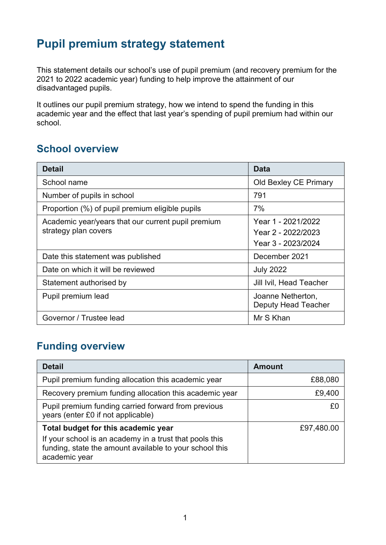# **Pupil premium strategy statement**

This statement details our school's use of pupil premium (and recovery premium for the 2021 to 2022 academic year) funding to help improve the attainment of our disadvantaged pupils.

It outlines our pupil premium strategy, how we intend to spend the funding in this academic year and the effect that last year's spending of pupil premium had within our school.

### **School overview**

| <b>Detail</b>                                                              | Data                                                           |
|----------------------------------------------------------------------------|----------------------------------------------------------------|
| School name                                                                | Old Bexley CE Primary                                          |
| Number of pupils in school                                                 | 791                                                            |
| Proportion (%) of pupil premium eligible pupils                            | 7%                                                             |
| Academic year/years that our current pupil premium<br>strategy plan covers | Year 1 - 2021/2022<br>Year 2 - 2022/2023<br>Year 3 - 2023/2024 |
| Date this statement was published                                          | December 2021                                                  |
| Date on which it will be reviewed                                          | <b>July 2022</b>                                               |
| Statement authorised by                                                    | Jill Ivil, Head Teacher                                        |
| Pupil premium lead                                                         | Joanne Netherton,<br><b>Deputy Head Teacher</b>                |
| Governor / Trustee lead                                                    | Mr S Khan                                                      |

### **Funding overview**

| <b>Detail</b>                                                                                                                                                              | <b>Amount</b> |
|----------------------------------------------------------------------------------------------------------------------------------------------------------------------------|---------------|
| Pupil premium funding allocation this academic year                                                                                                                        | £88,080       |
| Recovery premium funding allocation this academic year                                                                                                                     | £9,400        |
| Pupil premium funding carried forward from previous<br>years (enter £0 if not applicable)                                                                                  |               |
| Total budget for this academic year<br>If your school is an academy in a trust that pools this<br>funding, state the amount available to your school this<br>academic year | £97,480.00    |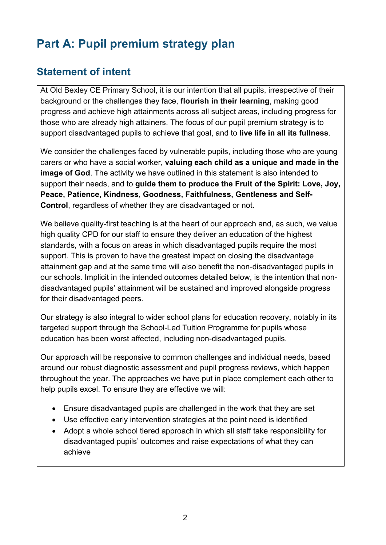# **Part A: Pupil premium strategy plan**

## **Statement of intent**

At Old Bexley CE Primary School, it is our intention that all pupils, irrespective of their background or the challenges they face, **flourish in their learning**, making good progress and achieve high attainments across all subject areas, including progress for those who are already high attainers. The focus of our pupil premium strategy is to support disadvantaged pupils to achieve that goal, and to **live life in all its fullness**.

We consider the challenges faced by vulnerable pupils, including those who are young carers or who have a social worker, **valuing each child as a unique and made in the image of God**. The activity we have outlined in this statement is also intended to support their needs, and to **guide them to produce the Fruit of the Spirit: Love, Joy, Peace, Patience, Kindness**, **Goodness, Faithfulness, Gentleness and Self-Control**, regardless of whether they are disadvantaged or not.

We believe quality-first teaching is at the heart of our approach and, as such, we value high quality CPD for our staff to ensure they deliver an education of the highest standards, with a focus on areas in which disadvantaged pupils require the most support. This is proven to have the greatest impact on closing the disadvantage attainment gap and at the same time will also benefit the non-disadvantaged pupils in our schools. Implicit in the intended outcomes detailed below, is the intention that nondisadvantaged pupils' attainment will be sustained and improved alongside progress for their disadvantaged peers.

Our strategy is also integral to wider school plans for education recovery, notably in its targeted support through the School-Led Tuition Programme for pupils whose education has been worst affected, including non-disadvantaged pupils.

Our approach will be responsive to common challenges and individual needs, based around our robust diagnostic assessment and pupil progress reviews, which happen throughout the year. The approaches we have put in place complement each other to help pupils excel. To ensure they are effective we will:

- Ensure disadvantaged pupils are challenged in the work that they are set
- Use effective early intervention strategies at the point need is identified
- Adopt a whole school tiered approach in which all staff take responsibility for disadvantaged pupils' outcomes and raise expectations of what they can achieve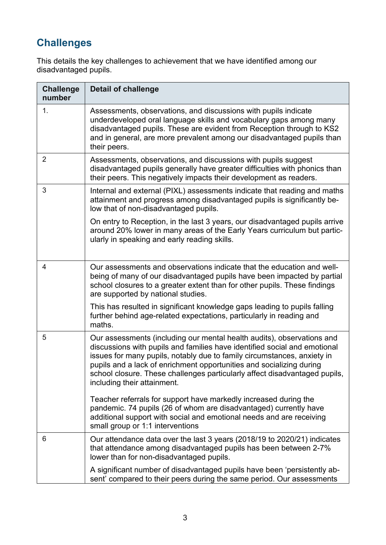# **Challenges**

This details the key challenges to achievement that we have identified among our disadvantaged pupils.

| <b>Challenge</b><br>number | <b>Detail of challenge</b>                                                                                                                                                                                                                                                                                                                                                                                          |
|----------------------------|---------------------------------------------------------------------------------------------------------------------------------------------------------------------------------------------------------------------------------------------------------------------------------------------------------------------------------------------------------------------------------------------------------------------|
| 1.                         | Assessments, observations, and discussions with pupils indicate<br>underdeveloped oral language skills and vocabulary gaps among many<br>disadvantaged pupils. These are evident from Reception through to KS2<br>and in general, are more prevalent among our disadvantaged pupils than<br>their peers.                                                                                                            |
| $\overline{2}$             | Assessments, observations, and discussions with pupils suggest<br>disadvantaged pupils generally have greater difficulties with phonics than<br>their peers. This negatively impacts their development as readers.                                                                                                                                                                                                  |
| 3                          | Internal and external (PIXL) assessments indicate that reading and maths<br>attainment and progress among disadvantaged pupils is significantly be-<br>low that of non-disadvantaged pupils.                                                                                                                                                                                                                        |
|                            | On entry to Reception, in the last 3 years, our disadvantaged pupils arrive<br>around 20% lower in many areas of the Early Years curriculum but partic-<br>ularly in speaking and early reading skills.                                                                                                                                                                                                             |
| $\overline{4}$             | Our assessments and observations indicate that the education and well-<br>being of many of our disadvantaged pupils have been impacted by partial<br>school closures to a greater extent than for other pupils. These findings<br>are supported by national studies.                                                                                                                                                |
|                            | This has resulted in significant knowledge gaps leading to pupils falling<br>further behind age-related expectations, particularly in reading and<br>maths.                                                                                                                                                                                                                                                         |
| 5                          | Our assessments (including our mental health audits), observations and<br>discussions with pupils and families have identified social and emotional<br>issues for many pupils, notably due to family circumstances, anxiety in<br>pupils and a lack of enrichment opportunities and socializing during<br>school closure. These challenges particularly affect disadvantaged pupils,<br>including their attainment. |
|                            | Teacher referrals for support have markedly increased during the<br>pandemic. 74 pupils (26 of whom are disadvantaged) currently have<br>additional support with social and emotional needs and are receiving<br>small group or 1:1 interventions                                                                                                                                                                   |
| 6                          | Our attendance data over the last 3 years (2018/19 to 2020/21) indicates<br>that attendance among disadvantaged pupils has been between 2-7%<br>lower than for non-disadvantaged pupils.                                                                                                                                                                                                                            |
|                            | A significant number of disadvantaged pupils have been 'persistently ab-<br>sent' compared to their peers during the same period. Our assessments                                                                                                                                                                                                                                                                   |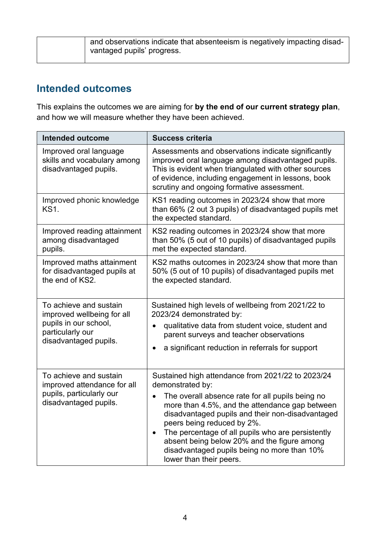| and observations indicate that absenteeism is negatively impacting disad-<br>vantaged pupils' progress. |
|---------------------------------------------------------------------------------------------------------|
|                                                                                                         |

#### **Intended outcomes**

This explains the outcomes we are aiming for **by the end of our current strategy plan**, and how we will measure whether they have been achieved.

| <b>Intended outcome</b>                                                                                                    | <b>Success criteria</b>                                                                                                                                                                                                                                                                                                                                                                                                                                               |  |
|----------------------------------------------------------------------------------------------------------------------------|-----------------------------------------------------------------------------------------------------------------------------------------------------------------------------------------------------------------------------------------------------------------------------------------------------------------------------------------------------------------------------------------------------------------------------------------------------------------------|--|
| Improved oral language<br>skills and vocabulary among<br>disadvantaged pupils.                                             | Assessments and observations indicate significantly<br>improved oral language among disadvantaged pupils.<br>This is evident when triangulated with other sources<br>of evidence, including engagement in lessons, book<br>scrutiny and ongoing formative assessment.                                                                                                                                                                                                 |  |
| Improved phonic knowledge<br><b>KS1.</b>                                                                                   | KS1 reading outcomes in 2023/24 show that more<br>than 66% (2 out 3 pupils) of disadvantaged pupils met<br>the expected standard.                                                                                                                                                                                                                                                                                                                                     |  |
| Improved reading attainment<br>among disadvantaged<br>pupils.                                                              | KS2 reading outcomes in 2023/24 show that more<br>than 50% (5 out of 10 pupils) of disadvantaged pupils<br>met the expected standard.                                                                                                                                                                                                                                                                                                                                 |  |
| Improved maths attainment<br>for disadvantaged pupils at<br>the end of KS2.                                                | KS2 maths outcomes in 2023/24 show that more than<br>50% (5 out of 10 pupils) of disadvantaged pupils met<br>the expected standard.                                                                                                                                                                                                                                                                                                                                   |  |
| To achieve and sustain<br>improved wellbeing for all<br>pupils in our school,<br>particularly our<br>disadvantaged pupils. | Sustained high levels of wellbeing from 2021/22 to<br>2023/24 demonstrated by:<br>qualitative data from student voice, student and<br>$\bullet$<br>parent surveys and teacher observations<br>a significant reduction in referrals for support<br>$\bullet$                                                                                                                                                                                                           |  |
| To achieve and sustain<br>improved attendance for all<br>pupils, particularly our<br>disadvantaged pupils.                 | Sustained high attendance from 2021/22 to 2023/24<br>demonstrated by:<br>The overall absence rate for all pupils being no<br>$\bullet$<br>more than 4.5%, and the attendance gap between<br>disadvantaged pupils and their non-disadvantaged<br>peers being reduced by 2%.<br>The percentage of all pupils who are persistently<br>$\bullet$<br>absent being below 20% and the figure among<br>disadvantaged pupils being no more than 10%<br>lower than their peers. |  |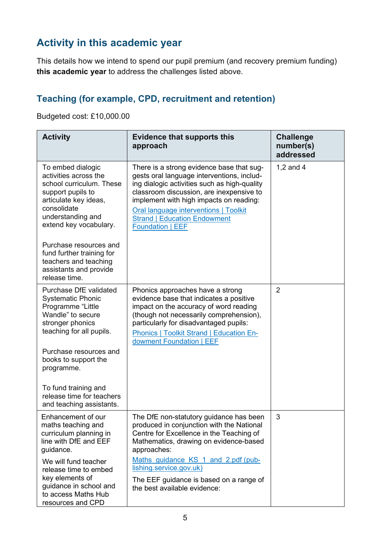# **Activity in this academic year**

This details how we intend to spend our pupil premium (and recovery premium funding) **this academic year** to address the challenges listed above.

### **Teaching (for example, CPD, recruitment and retention)**

Budgeted cost: £10,000.00

| <b>Activity</b>                                                                                                                                                                    | <b>Evidence that supports this</b><br>approach                                                                                                                                                                                                                                                                                            | <b>Challenge</b><br>number(s)<br>addressed |
|------------------------------------------------------------------------------------------------------------------------------------------------------------------------------------|-------------------------------------------------------------------------------------------------------------------------------------------------------------------------------------------------------------------------------------------------------------------------------------------------------------------------------------------|--------------------------------------------|
| To embed dialogic<br>activities across the<br>school curriculum. These<br>support pupils to<br>articulate key ideas,<br>consolidate<br>understanding and<br>extend key vocabulary. | There is a strong evidence base that sug-<br>gests oral language interventions, includ-<br>ing dialogic activities such as high-quality<br>classroom discussion, are inexpensive to<br>implement with high impacts on reading:<br><b>Oral language interventions   Toolkit</b><br><b>Strand   Education Endowment</b><br>Foundation   EEF | 1,2 and 4                                  |
| Purchase resources and<br>fund further training for<br>teachers and teaching<br>assistants and provide<br>release time.                                                            |                                                                                                                                                                                                                                                                                                                                           |                                            |
| <b>Purchase DfE validated</b><br><b>Systematic Phonic</b><br>Programme "Little<br>Wandle" to secure<br>stronger phonics<br>teaching for all pupils.<br>Purchase resources and      | Phonics approaches have a strong<br>evidence base that indicates a positive<br>impact on the accuracy of word reading<br>(though not necessarily comprehension),<br>particularly for disadvantaged pupils:<br><b>Phonics   Toolkit Strand   Education En-</b><br>dowment Foundation   EEF                                                 | $\overline{2}$                             |
| books to support the<br>programme.<br>To fund training and<br>release time for teachers                                                                                            |                                                                                                                                                                                                                                                                                                                                           |                                            |
| and teaching assistants.<br>Enhancement of our<br>maths teaching and<br>curriculum planning in<br>line with DfE and EEF<br>guidance.                                               | The DfE non-statutory guidance has been<br>produced in conjunction with the National<br>Centre for Excellence in the Teaching of<br>Mathematics, drawing on evidence-based<br>approaches:                                                                                                                                                 | 3                                          |
| We will fund teacher<br>release time to embed<br>key elements of<br>guidance in school and<br>to access Maths Hub<br>resources and CPD                                             | Maths guidance KS 1 and 2.pdf (pub-<br>lishing.service.gov.uk)<br>The EEF guidance is based on a range of<br>the best available evidence:                                                                                                                                                                                                 |                                            |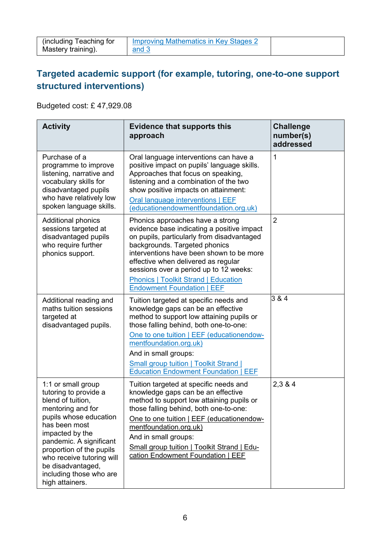| (including Teaching for | <b>Improving Mathematics in Key Stages 2</b> |  |
|-------------------------|----------------------------------------------|--|
| Mastery training).      | and 3                                        |  |

#### **Targeted academic support (for example, tutoring, one-to-one support structured interventions)**

Budgeted cost: £ 47,929.08

| <b>Activity</b>                                                                                                                                                                                                                                                                                            | <b>Evidence that supports this</b><br>approach                                                                                                                                                                                                                                                                                                                                 | <b>Challenge</b><br>number(s)<br>addressed |
|------------------------------------------------------------------------------------------------------------------------------------------------------------------------------------------------------------------------------------------------------------------------------------------------------------|--------------------------------------------------------------------------------------------------------------------------------------------------------------------------------------------------------------------------------------------------------------------------------------------------------------------------------------------------------------------------------|--------------------------------------------|
| Purchase of a<br>programme to improve<br>listening, narrative and<br>vocabulary skills for<br>disadvantaged pupils<br>who have relatively low<br>spoken language skills.                                                                                                                                   | Oral language interventions can have a<br>positive impact on pupils' language skills.<br>Approaches that focus on speaking,<br>listening and a combination of the two<br>show positive impacts on attainment:<br>Oral language interventions   EEF<br>(educationendowmentfoundation.org.uk)                                                                                    | $\mathbf 1$                                |
| <b>Additional phonics</b><br>sessions targeted at<br>disadvantaged pupils<br>who require further<br>phonics support.                                                                                                                                                                                       | Phonics approaches have a strong<br>evidence base indicating a positive impact<br>on pupils, particularly from disadvantaged<br>backgrounds. Targeted phonics<br>interventions have been shown to be more<br>effective when delivered as regular<br>sessions over a period up to 12 weeks:<br><b>Phonics   Toolkit Strand   Education</b><br><b>Endowment Foundation   EEF</b> | $\overline{2}$                             |
| Additional reading and<br>maths tuition sessions<br>targeted at<br>disadvantaged pupils.                                                                                                                                                                                                                   | Tuition targeted at specific needs and<br>knowledge gaps can be an effective<br>method to support low attaining pupils or<br>those falling behind, both one-to-one:<br>One to one tuition   EEF (educationendow-<br>mentfoundation.org.uk)<br>And in small groups:<br><b>Small group tuition   Toolkit Strand  </b><br><b>Education Endowment Foundation   EEF</b>             | 3 & 4                                      |
| 1:1 or small group<br>tutoring to provide a<br>blend of tuition,<br>mentoring and for<br>pupils whose education<br>has been most<br>impacted by the<br>pandemic. A significant<br>proportion of the pupils<br>who receive tutoring will<br>be disadvantaged,<br>including those who are<br>high attainers. | Tuition targeted at specific needs and<br>knowledge gaps can be an effective<br>method to support low attaining pupils or<br>those falling behind, both one-to-one:<br>One to one tuition   EEF (educationendow-<br>mentfoundation.org.uk)<br>And in small groups:<br>Small group tuition   Toolkit Strand   Edu-<br>cation Endowment Foundation   EEF                         | 2,3 & 4                                    |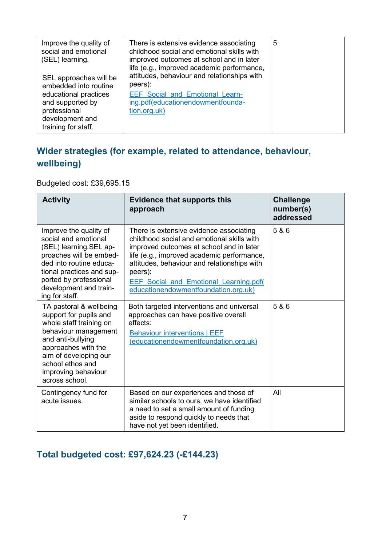| Improve the quality of | There is extensive evidence associating     | 5 |
|------------------------|---------------------------------------------|---|
| social and emotional   | childhood social and emotional skills with  |   |
|                        | improved outcomes at school and in later    |   |
| (SEL) learning.        |                                             |   |
|                        | life (e.g., improved academic performance,  |   |
| SEL approaches will be | attitudes, behaviour and relationships with |   |
| embedded into routine  | peers):                                     |   |
| educational practices  | <b>EEF Social and Emotional Learn-</b>      |   |
| and supported by       | ing.pdf(educationendowmentfounda-           |   |
| professional           | tion.org.uk)                                |   |
| development and        |                                             |   |
| training for staff.    |                                             |   |

#### **Wider strategies (for example, related to attendance, behaviour, wellbeing)**

Budgeted cost: £39,695.15

| <b>Activity</b>                                                                                                                                                                                                                        | <b>Evidence that supports this</b><br>approach                                                                                                                                                                                                                                                                                     | <b>Challenge</b><br>number(s)<br>addressed |
|----------------------------------------------------------------------------------------------------------------------------------------------------------------------------------------------------------------------------------------|------------------------------------------------------------------------------------------------------------------------------------------------------------------------------------------------------------------------------------------------------------------------------------------------------------------------------------|--------------------------------------------|
| Improve the quality of<br>social and emotional<br>(SEL) learning. SEL ap-<br>proaches will be embed-<br>ded into routine educa-<br>tional practices and sup-<br>ported by professional<br>development and train-<br>ing for staff.     | There is extensive evidence associating<br>childhood social and emotional skills with<br>improved outcomes at school and in later<br>life (e.g., improved academic performance,<br>attitudes, behaviour and relationships with<br>peers):<br><b>EEF Social and Emotional Learning.pdf(</b><br>educationendowmentfoundation.org.uk) | 5 & 6                                      |
| TA pastoral & wellbeing<br>support for pupils and<br>whole staff training on<br>behaviour management<br>and anti-bullying<br>approaches with the<br>aim of developing our<br>school ethos and<br>improving behaviour<br>across school. | Both targeted interventions and universal<br>approaches can have positive overall<br>effects:<br><b>Behaviour interventions   EEF</b><br>(educationendowmentfoundation.org.uk)                                                                                                                                                     | 5 & 6                                      |
| Contingency fund for<br>acute issues.                                                                                                                                                                                                  | Based on our experiences and those of<br>similar schools to ours, we have identified<br>a need to set a small amount of funding<br>aside to respond quickly to needs that<br>have not yet been identified.                                                                                                                         | All                                        |

#### **Total budgeted cost: £97,624.23 (-£144.23)**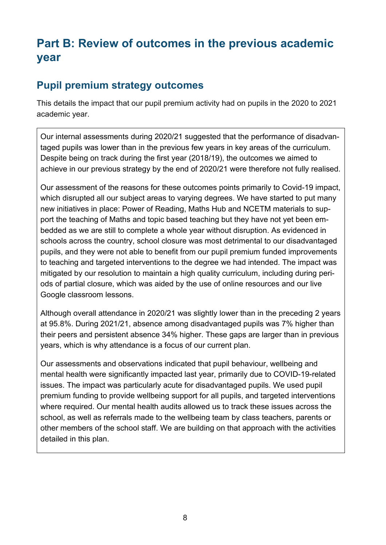# **Part B: Review of outcomes in the previous academic year**

#### **Pupil premium strategy outcomes**

This details the impact that our pupil premium activity had on pupils in the 2020 to 2021 academic year.

Our internal assessments during 2020/21 suggested that the performance of disadvantaged pupils was lower than in the previous few years in key areas of the curriculum. Despite being on track during the first year (2018/19), the outcomes we aimed to achieve in our previous strategy by the end of 2020/21 were therefore not fully realised.

Our assessment of the reasons for these outcomes points primarily to Covid-19 impact, which disrupted all our subject areas to varying degrees. We have started to put many new initiatives in place: Power of Reading, Maths Hub and NCETM materials to support the teaching of Maths and topic based teaching but they have not yet been embedded as we are still to complete a whole year without disruption. As evidenced in schools across the country, school closure was most detrimental to our disadvantaged pupils, and they were not able to benefit from our pupil premium funded improvements to teaching and targeted interventions to the degree we had intended. The impact was mitigated by our resolution to maintain a high quality curriculum, including during periods of partial closure, which was aided by the use of online resources and our live Google classroom lessons.

Although overall attendance in 2020/21 was slightly lower than in the preceding 2 years at 95.8%. During 2021/21, absence among disadvantaged pupils was 7% higher than their peers and persistent absence 34% higher. These gaps are larger than in previous years, which is why attendance is a focus of our current plan.

Our assessments and observations indicated that pupil behaviour, wellbeing and mental health were significantly impacted last year, primarily due to COVID-19-related issues. The impact was particularly acute for disadvantaged pupils. We used pupil premium funding to provide wellbeing support for all pupils, and targeted interventions where required. Our mental health audits allowed us to track these issues across the school, as well as referrals made to the wellbeing team by class teachers, parents or other members of the school staff. We are building on that approach with the activities detailed in this plan.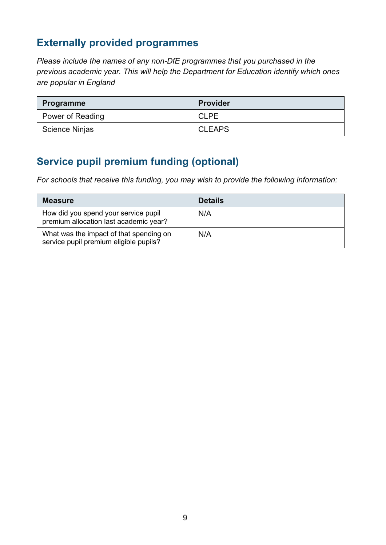### **Externally provided programmes**

*Please include the names of any non-DfE programmes that you purchased in the previous academic year. This will help the Department for Education identify which ones are popular in England*

| <b>Programme</b> | <b>Provider</b> |
|------------------|-----------------|
| Power of Reading | <b>CLPE</b>     |
| Science Ninjas   | <b>CLEAPS</b>   |

## **Service pupil premium funding (optional)**

*For schools that receive this funding, you may wish to provide the following information:* 

| <b>Measure</b>                                                                    | <b>Details</b> |
|-----------------------------------------------------------------------------------|----------------|
| How did you spend your service pupil<br>premium allocation last academic year?    | N/A            |
| What was the impact of that spending on<br>service pupil premium eligible pupils? | N/A            |